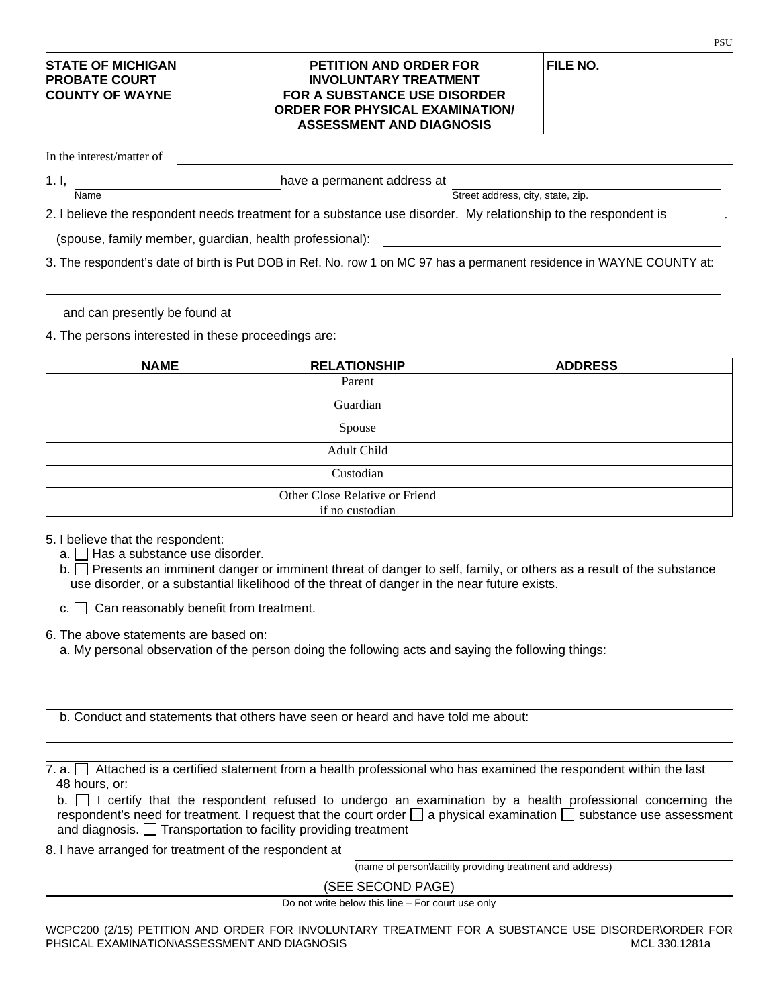## **STATE OF MICHIGAN PETITION AND ORDER FOR FILE NO. INVOLUNTARY TREATMENT COUNTY OF WAYNE FOR A SUBSTANCE USE DISORDER ORDER FOR PHYSICAL EXAMINATION/ ASSESSMENT AND DIAGNOSIS**

In the interest/matter of

1. I,  $\frac{1}{\text{Name}}$  have a permanent address at

Street address, city, state, zip.

2. I believe the respondent needs treatment for a substance use disorder. My relationship to the respondent is

(spouse, family member, guardian, health professional):

3. The respondent's date of birth is Put DOB in Ref. No. row 1 on MC 97 has a permanent residence in WAYNE COUNTY at:

and can presently be found at

4. The persons interested in these proceedings are:

| <b>NAME</b> | <b>RELATIONSHIP</b>            | <b>ADDRESS</b> |
|-------------|--------------------------------|----------------|
|             | Parent                         |                |
|             | Guardian                       |                |
|             | Spouse                         |                |
|             | Adult Child                    |                |
|             | Custodian                      |                |
|             | Other Close Relative or Friend |                |
|             | if no custodian                |                |

5. I believe that the respondent:

- $a.$  Has a substance use disorder.
- b. Presents an imminent danger or imminent threat of danger to self, family, or others as a result of the substance use disorder, or a substantial likelihood of the threat of danger in the near future exists.
- $c.$   $\Box$  Can reasonably benefit from treatment.
- 6. The above statements are based on:
	- a. My personal observation of the person doing the following acts and saying the following things:
	- b. Conduct and statements that others have seen or heard and have told me about:

7. a.  $\Box$  Attached is a certified statement from a health professional who has examined the respondent within the last 48 hours, or:

|  |  |                                                                      |  |  | b. $\Box$ I certify that the respondent refused to undergo an examination by a health professional concerning the             |  |  |  |  |
|--|--|----------------------------------------------------------------------|--|--|-------------------------------------------------------------------------------------------------------------------------------|--|--|--|--|
|  |  |                                                                      |  |  | respondent's need for treatment. I request that the court order $\Box$ a physical examination $\Box$ substance use assessment |  |  |  |  |
|  |  | and diagnosis. $\Box$ Transportation to facility providing treatment |  |  |                                                                                                                               |  |  |  |  |

8. I have arranged for treatment of the respondent at

(name of person\facility providing treatment and address)

(SEE SECOND PAGE)

Do not write below this line – For court use only

**PSU**